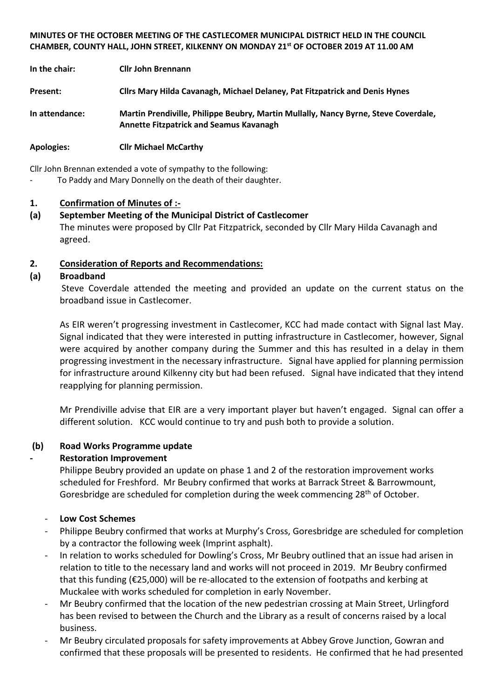#### **MINUTES OF THE OCTOBER MEETING OF THE CASTLECOMER MUNICIPAL DISTRICT HELD IN THE COUNCIL CHAMBER, COUNTY HALL, JOHN STREET, KILKENNY ON MONDAY 21st OF OCTOBER 2019 AT 11.00 AM**

| In the chair:     | <b>Cllr John Brennann</b>                                                                                                             |
|-------------------|---------------------------------------------------------------------------------------------------------------------------------------|
| Present:          | Cllrs Mary Hilda Cavanagh, Michael Delaney, Pat Fitzpatrick and Denis Hynes                                                           |
| In attendance:    | Martin Prendiville, Philippe Beubry, Martin Mullally, Nancy Byrne, Steve Coverdale,<br><b>Annette Fitzpatrick and Seamus Kavanagh</b> |
| <b>Apologies:</b> | <b>Cllr Michael McCarthy</b>                                                                                                          |

Cllr John Brennan extended a vote of sympathy to the following:

To Paddy and Mary Donnelly on the death of their daughter.

## **1. Confirmation of Minutes of :-**

**(a) September Meeting of the Municipal District of Castlecomer** The minutes were proposed by Cllr Pat Fitzpatrick, seconded by Cllr Mary Hilda Cavanagh and agreed.

## **2. Consideration of Reports and Recommendations:**

## **(a) Broadband**

Steve Coverdale attended the meeting and provided an update on the current status on the broadband issue in Castlecomer.

As EIR weren't progressing investment in Castlecomer, KCC had made contact with Signal last May. Signal indicated that they were interested in putting infrastructure in Castlecomer, however, Signal were acquired by another company during the Summer and this has resulted in a delay in them progressing investment in the necessary infrastructure. Signal have applied for planning permission for infrastructure around Kilkenny city but had been refused. Signal have indicated that they intend reapplying for planning permission.

Mr Prendiville advise that EIR are a very important player but haven't engaged. Signal can offer a different solution. KCC would continue to try and push both to provide a solution.

## **(b) Road Works Programme update**

## **- Restoration Improvement**

Philippe Beubry provided an update on phase 1 and 2 of the restoration improvement works scheduled for Freshford. Mr Beubry confirmed that works at Barrack Street & Barrowmount, Goresbridge are scheduled for completion during the week commencing  $28<sup>th</sup>$  of October.

## - **Low Cost Schemes**

- Philippe Beubry confirmed that works at Murphy's Cross, Goresbridge are scheduled for completion by a contractor the following week (Imprint asphalt).
- In relation to works scheduled for Dowling's Cross, Mr Beubry outlined that an issue had arisen in relation to title to the necessary land and works will not proceed in 2019. Mr Beubry confirmed that this funding (€25,000) will be re-allocated to the extension of footpaths and kerbing at Muckalee with works scheduled for completion in early November.
- Mr Beubry confirmed that the location of the new pedestrian crossing at Main Street, Urlingford has been revised to between the Church and the Library as a result of concerns raised by a local business.
- Mr Beubry circulated proposals for safety improvements at Abbey Grove Junction, Gowran and confirmed that these proposals will be presented to residents. He confirmed that he had presented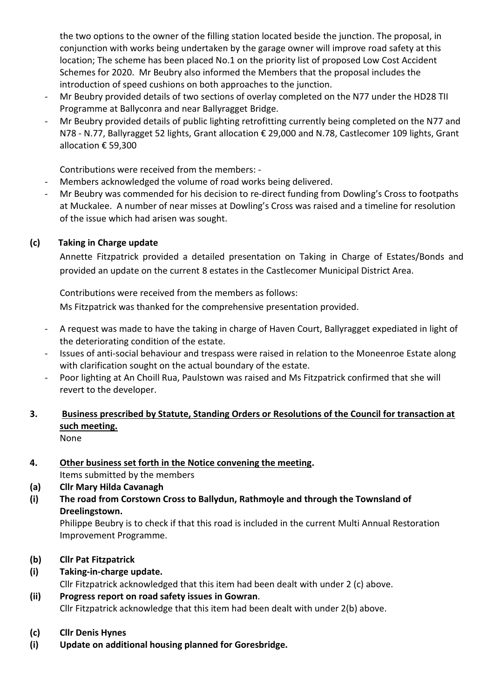the two options to the owner of the filling station located beside the junction. The proposal, in conjunction with works being undertaken by the garage owner will improve road safety at this location; The scheme has been placed No.1 on the priority list of proposed Low Cost Accident Schemes for 2020. Mr Beubry also informed the Members that the proposal includes the introduction of speed cushions on both approaches to the junction.

- Mr Beubry provided details of two sections of overlay completed on the N77 under the HD28 TII Programme at Ballyconra and near Ballyragget Bridge.
- Mr Beubry provided details of public lighting retrofitting currently being completed on the N77 and N78 - N.77, Ballyragget 52 lights, Grant allocation € 29,000 and N.78, Castlecomer 109 lights, Grant allocation € 59,300

Contributions were received from the members: -

- Members acknowledged the volume of road works being delivered.
- Mr Beubry was commended for his decision to re-direct funding from Dowling's Cross to footpaths at Muckalee. A number of near misses at Dowling's Cross was raised and a timeline for resolution of the issue which had arisen was sought.

# **(c) Taking in Charge update**

Annette Fitzpatrick provided a detailed presentation on Taking in Charge of Estates/Bonds and provided an update on the current 8 estates in the Castlecomer Municipal District Area.

Contributions were received from the members as follows:

Ms Fitzpatrick was thanked for the comprehensive presentation provided.

- A request was made to have the taking in charge of Haven Court, Ballyragget expediated in light of the deteriorating condition of the estate.
- Issues of anti-social behaviour and trespass were raised in relation to the Moneenroe Estate along with clarification sought on the actual boundary of the estate.
- Poor lighting at An Choill Rua, Paulstown was raised and Ms Fitzpatrick confirmed that she will revert to the developer.

#### **3. Business prescribed by Statute, Standing Orders or Resolutions of the Council for transaction at such meeting.** None

**4. Other business set forth in the Notice convening the meeting.**

Items submitted by the members

- **(a) Cllr Mary Hilda Cavanagh**
- **(i) The road from Corstown Cross to Ballydun, Rathmoyle and through the Townsland of Dreelingstown.**

Philippe Beubry is to check if that this road is included in the current Multi Annual Restoration Improvement Programme.

- **(b) Cllr Pat Fitzpatrick**
- **(i) Taking-in-charge update.** Cllr Fitzpatrick acknowledged that this item had been dealt with under 2 (c) above.
- **(ii) Progress report on road safety issues in Gowran**. Cllr Fitzpatrick acknowledge that this item had been dealt with under 2(b) above.
- **(c) Cllr Denis Hynes**
- **(i) Update on additional housing planned for Goresbridge.**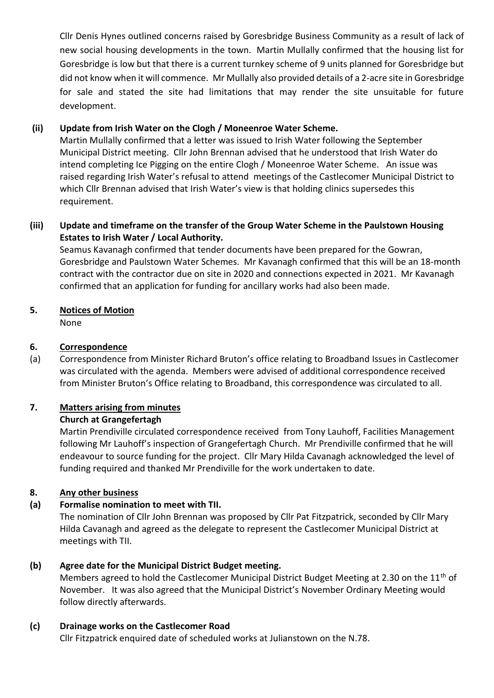Cllr Denis Hynes outlined concerns raised by Goresbridge Business Community as a result of lack of new social housing developments in the town. Martin Mullally confirmed that the housing list for Goresbridge is low but that there is a current turnkey scheme of 9 units planned for Goresbridge but did not know when it will commence. Mr Mullally also provided details of a 2-acre site in Goresbridge for sale and stated the site had limitations that may render the site unsuitable for future development.

## **(ii) Update from Irish Water on the Clogh / Moneenroe Water Scheme.**

Martin Mullally confirmed that a letter was issued to Irish Water following the September Municipal District meeting. Cllr John Brennan advised that he understood that Irish Water do intend completing Ice Pigging on the entire Clogh / Moneenroe Water Scheme. An issue was raised regarding Irish Water's refusal to attend meetings of the Castlecomer Municipal District to which Cllr Brennan advised that Irish Water's view is that holding clinics supersedes this requirement.

## **(iii) Update and timeframe on the transfer of the Group Water Scheme in the Paulstown Housing Estates to Irish Water / Local Authority.**

Seamus Kavanagh confirmed that tender documents have been prepared for the Gowran, Goresbridge and Paulstown Water Schemes. Mr Kavanagh confirmed that this will be an 18-month contract with the contractor due on site in 2020 and connections expected in 2021. Mr Kavanagh confirmed that an application for funding for ancillary works had also been made.

## **5. Notices of Motion**

None

## **6. Correspondence**

(a) Correspondence from Minister Richard Bruton's office relating to Broadband Issues in Castlecomer was circulated with the agenda. Members were advised of additional correspondence received from Minister Bruton's Office relating to Broadband, this correspondence was circulated to all.

# **7. Matters arising from minutes**

## **Church at Grangefertagh**

Martin Prendiville circulated correspondence received from Tony Lauhoff, Facilities Management following Mr Lauhoff's inspection of Grangefertagh Church. Mr Prendiville confirmed that he will endeavour to source funding for the project. Cllr Mary Hilda Cavanagh acknowledged the level of funding required and thanked Mr Prendiville for the work undertaken to date.

## **8. Any other business**

# **(a) Formalise nomination to meet with TII.**

The nomination of Cllr John Brennan was proposed by Cllr Pat Fitzpatrick, seconded by Cllr Mary Hilda Cavanagh and agreed as the delegate to represent the Castlecomer Municipal District at meetings with TII.

## **(b) Agree date for the Municipal District Budget meeting.**

Members agreed to hold the Castlecomer Municipal District Budget Meeting at 2.30 on the 11<sup>th</sup> of November. It was also agreed that the Municipal District's November Ordinary Meeting would follow directly afterwards.

## **(c) Drainage works on the Castlecomer Road**

Cllr Fitzpatrick enquired date of scheduled works at Julianstown on the N.78.